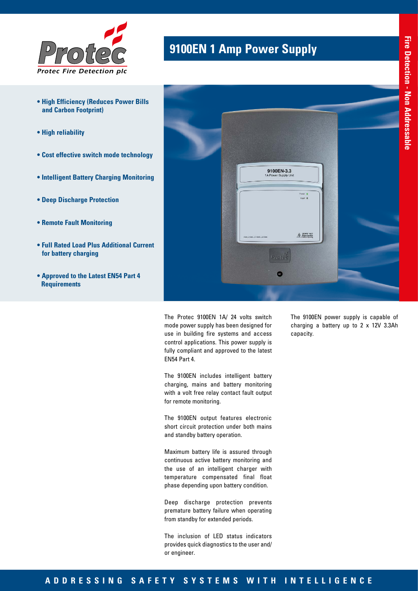

- **High Efficiency (Reduces Power Bills and Carbon Footprint)**
- **High reliability**
- **Cost effective switch mode technology**
- **Intelligent Battery Charging Monitoring**
- **Deep Discharge Protection**
- **Remote Fault Monitoring**
- **Full Rated Load Plus Additional Current for battery charging**
- **Approved to the Latest EN54 Part 4 Requirements**



**9100EN 1 Amp Power Supply** 

The Protec 9100EN 1A/ 24 volts switch mode power supply has been designed for use in building fire systems and access control applications. This power supply is fully compliant and approved to the latest EN54 Part 4.

The 9100EN includes intelligent battery charging, mains and battery monitoring with a volt free relay contact fault output for remote monitoring.

The 9100EN output features electronic short circuit protection under both mains and standby battery operation.

Maximum battery life is assured through continuous active battery monitoring and the use of an intelligent charger with temperature compensated final float phase depending upon battery condition.

Deep discharge protection prevents premature battery failure when operating from standby for extended periods.

The inclusion of LED status indicators provides quick diagnostics to the user and/ or engineer.

The 9100EN power supply is capable of charging a battery up to 2 x 12V 3.3Ah capacity.